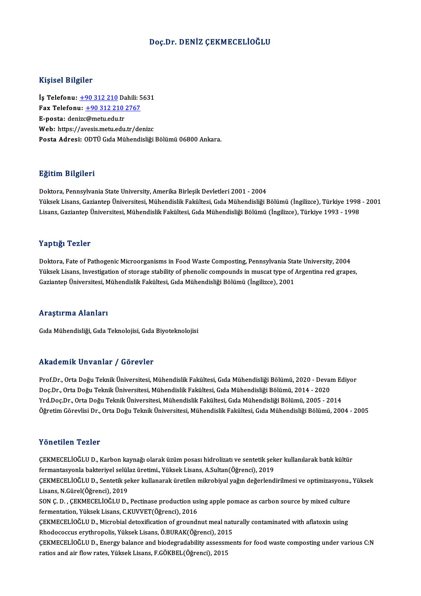#### Doç.Dr. DENİZ ÇEKMECELİOĞLU

#### Kişisel Bilgiler

Kişisel Bilgiler<br>İş Telefonu: <u>+90 312 210</u> Dahili: 5631<br>Fax Telefonu: 190 312 210 2767 1133001 2115101<br>İş Telefonu: <u>+90 312 210</u> Dahili: 5<br>Fax Telefonu: <u>+90 312 210 2767</u> İş Telefonu: <u>+90 312 210</u> Da<br>Fax Telefonu: <u>+90 312 210<br>E-posta: den[izc](tel:+90 312 210)[@metu.edu.tr](tel:+90 312 210 2767)</u><br>Web: bttps://avesis.potu.edu.tr Fax Telefonu: <u>+90 312 210 2767</u><br>E-posta: denizc@metu.edu.tr<br>Web: https://avesis.metu.edu.tr/denizc Posta Adresi: ODTÜ Gıda Mühendisliği Bölümü 06800 Ankara.

#### Eğitim Bilgileri

Doktora, Pennsylvania State University, Amerika Birleşik Devletleri 2001 - 2004 YüksekLisans,GaziantepÜniversitesi,MühendislikFakültesi,GıdaMühendisliğiBölümü (İngilizce),Türkiye 1998 -2001 Lisans, Gaziantep Üniversitesi, Mühendislik Fakültesi, Gıda Mühendisliği Bölümü (İngilizce), Türkiye 1993 - 1998

#### Yaptığı Tezler

**Yaptığı Tezler**<br>Doktora, Fate of Pathogenic Microorganisms in Food Waste Composting, Pennsylvania State University, 2004<br><sup>Vültselt Lisens, Investigation of stenses stability of phenelis semneunds in musset time of Argenti</sup> Yüksek Lisans, Investigation of storage stability of phenolic compounds in muscat type of Argentina red grapes,<br>Gaziantep Üniversitesi, Mühendislik Fakültesi, Gıda Mühendisliği Bölümü (İngilizce), 2001 Doktora, Fate of Pathogenic Microorganisms in Food Waste Composting, Pennsylvania Sta<br>Yüksek Lisans, Investigation of storage stability of phenolic compounds in muscat type of *i*<br>Gaziantep Üniversitesi, Mühendislik Fakült

#### Araştırma Alanları

Gıda Mühendisliği, Gıda Teknolojisi, Gıda Biyoteknolojisi

#### Akademik Unvanlar / Görevler

Akademik Unvanlar / Görevler<br>Prof.Dr., Orta Doğu Teknik Üniversitesi, Mühendislik Fakültesi, Gıda Mühendisliği Bölümü, 2020 - Devam Ediyor<br>Des Dr., Orta Doğu Teknik Üniversitesi, Mühendislik Fakültesi, Gıda Mühendisliği Bö rındu olirin "Əliv ulirlar" / "Əliv ovror"<br>Prof.Dr., Orta Doğu Teknik Üniversitesi, Mühendislik Fakültesi, Gıda Mühendisliği Bölümü, 2020 - Devaı<br>Vrd Doc.Dr., Orta Doğu Teknik Üniversitesi, Mühendislik Fakültesi, Gıda Mühe Prof.Dr., Orta Doğu Teknik Üniversitesi, Mühendislik Fakültesi, Gıda Mühendisliği Bölümü, 2020 - Devam Ec<br>Doç.Dr., Orta Doğu Teknik Üniversitesi, Mühendislik Fakültesi, Gıda Mühendisliği Bölümü, 2014 - 2020<br>Yrd.Doç.Dr., Or Doç.Dr., Orta Doğu Teknik Üniversitesi, Mühendislik Fakültesi, Gıda Mühendisliği Bölümü, 2014 - 2020<br>Yrd.Doç.Dr., Orta Doğu Teknik Üniversitesi, Mühendislik Fakültesi, Gıda Mühendisliği Bölümü, 2005 - 2014<br>Öğretim Görevlis

#### Yönetilen Tezler

Yönetilen Tezler<br>ÇEKMECELİOĞLU D., Karbon kaynağı olarak üzüm posası hidrolizatı ve sentetik şeker kullanılarak batık kültür<br>fermantasyonla baktariyel selülez üretimi, Yüksek Lisans, A Sultan(Öğrensi), 2019 f offermantasyonla bakteriyel<br>ÇEKMECELİOĞLU D., Karbon kaynağı olarak üzüm posası hidrolizatı ve sentetik şek<br>fermantasyonla bakteriyel selülaz üretimi., Yüksek Lisans, A.Sultan(Öğrenci), 2019<br>CEKMECELİOĞLU D. Sontatik sek ÇEKMECELİOĞLU D., Karbon kaynağı olarak üzüm posası hidrolizatı ve sentetik şeker kullanılarak batık kültür<br>fermantasyonla bakteriyel selülaz üretimi., Yüksek Lisans, A.Sultan(Öğrenci), 2019<br>ÇEKMECELİOĞLU D., Sentetik şeke fermantasyonla bakteriyel selülaz üretimi., Yüksek Lisans, A.Sultan(Öğrenci), 2019<br>ÇEKMECELİOĞLU D., Sentetik şeker kullanarak üretilen mikrobiyal yağın değerlendirilmesi ve optimizasyonu., Yüksek<br>Lisans, N.Gürel(Öğrenci), ÇEKMECELİOĞLU D., Sentetik şeker kullanarak üretilen mikrobiyal yağın değerlendirilmesi ve optimizasyonu.,<br>Lisans, N.Gürel(Öğrenci), 2019<br>SON Ç. D. , ÇEKMECELİOĞLU D., Pectinase production using apple pomace as carbon sour Lisans, N.Gürel(Öğrenci), 2019<br>SON Ç. D. , ÇEKMECELİOĞLU D., Pectinase production us<br>fermentation, Yüksek Lisans, C.KUVVET(Öğrenci), 2016<br>CEKMECELİOĞLU D. Mispobial detevifisation of spound: SON Ç. D. , ÇEKMECELİOĞLU D., Pectinase production using apple pomace as carbon source by mixed culture<br>fermentation, Yüksek Lisans, C.KUVVET(Öğrenci), 2016<br>ÇEKMECELİOĞLU D., Microbial detoxification of groundnut meal natu fermentation, Yüksek Lisans, C.KUVVET(Öğrenci), 2016<br>ÇEKMECELİOĞLU D., Microbial detoxification of groundnut meal naturally contaminated with aflatoxin using<br>Rhodococcus erythropolis, Yüksek Lisans, Ö.BURAK(Öğrenci), 2015 ÇEKMECELİOĞLUD.,Energybalance and biodegradability assessments for foodwaste compostingunder variousC:N ratios and air flowrates,YüksekLisans,F.GÖKBEL(Öğrenci),2015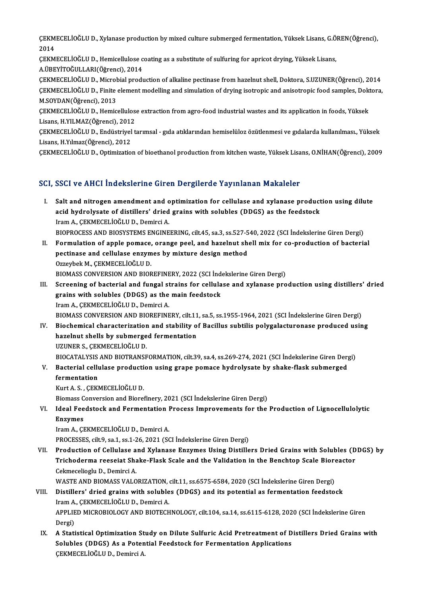ÇEKMECELİOĞLU D., Xylanase production by mixed culture submerged fermentation, Yüksek Lisans, G.ÖREN(Öğrenci),<br>2014 CEKM<br>2014<br>CEKM ÇEKMECELİOĞLU D., Xylanase production by mixed culture submerged fermentation, Yüksek Lisans, G.Ö<br>2014<br>ÇEKMECELİOĞLU D., Hemicellulose coating as a substitute of sulfuring for apricot drying, Yüksek Lisans,<br>A ÜREVİTOĞLU LA

2014<br>ÇEKMECELİOĞLU D., Hemicellulose coating as a substitute of sulfuring for apricot drying, Yüksek Lisans,<br>A.ÜBEYİTOĞULLARI(Öğrenci), 2014 ÇEKMECELİOĞLU D., Hemicellulose coating as a substitute of sulfuring for apricot drying, Yüksek Lisans,<br>A.ÜBEYİTOĞULLARI(Öğrenci), 2014<br>ÇEKMECELİOĞLU D., Microbial production of alkaline pectinase from hazelnut shell, Dokt

A.ÜBEYİTOĞULLARI(Öğrenci), 2014<br>ÇEKMECELİOĞLU D., Microbial production of alkaline pectinase from hazelnut shell, Doktora, S.UZUNER(Öğrenci), 2014<br>ÇEKMECELİOĞLU D., Finite element modelling and simulation of drying isotrop ÇEKMECELİOĞLU D., Microl<br>ÇEKMECELİOĞLU D., Finite<br>M.SOYDAN(Öğrenci), 2013<br>CEKMECELİOĞLU D. Homic ÇEKMECELİOĞLU D., Finite element modelling and simulation of drying isotropic and anisotropic food samples, Dokt<br>M.SOYDAN(Öğrenci), 2013<br>ÇEKMECELİOĞLU D., Hemicellulose extraction from agro-food industrial wastes and its a

M.SOYDAN(Öğrenci), 2013<br>ÇEKMECELİOĞLU D., Hemicellulose extraction from agro-food industrial wastes and its application in foods, Yüksek<br>Lisans, H.YILMAZ(Öğrenci), 2012 ÇEKMECELİOĞLU D., Hemicellulose extraction from agro-food industrial wastes and its application in foods, Yüksek<br>Lisans, H.YILMAZ(Öğrenci), 2012<br>ÇEKMECELİOĞLU D., Endüstriyel tarımsal - gıda atıklarından hemiselüloz özütle

Lisans, H.YILMAZ(Öğrenci), 2012<br>ÇEKMECELİOĞLU D., Endüstriyel<br>Lisans, H.Yılmaz(Öğrenci), 2012<br>CEKMECELİOĞLU D. Ontimizatle ÇEKMECELİOĞLU D., Endüstriyel tarımsal - gıda atıklarından hemiselüloz özütlenmesi ve gıdalarda kullanılması., Yüksek<br>Lisans, H.Yılmaz(Öğrenci), 2012<br>ÇEKMECELİOĞLU D., Optimization of bioethanol production from kitchen was

ÇEKMECELİOĞLU D., Optimization of bioethanol production from kitchen waste, Yüksek Lisans, O.NİHAN(Öğrenci), 2009<br>SCI, SSCI ve AHCI İndekslerine Giren Dergilerde Yayınlanan Makaleler

- I. Salt and nitrogen amendment and optimization for cellulase and xylanase production using dilute SBST VS THEFT INCREDITING CHER BULGICAL TRY INTERNATIONAL PRINCIPLE<br>Salt and nitrogen amendment and optimization for cellulase and xylanase product<br>acid hydrolysate of distillers' dried grains with solubles (DDGS) as the f Salt and nitrogen amendment and c<br>acid hydrolysate of distillers' dried<br>Iram A., ÇEKMECELİOĞLU D., Demirci A.<br>PIOPROCESS AND PIOSYSTEMS ENCINE Iram A., ÇEKMECELİOĞLU D., Demirci A.<br>BIOPROCESS AND BIOSYSTEMS ENGINEERING, cilt.45, sa.3, ss.527-540, 2022 (SCI İndekslerine Giren Dergi)
- Iram A., ÇEKMECELİOĞLU D., Demirci A.<br>BIOPROCESS AND BIOSYSTEMS ENGINEERING, cilt.45, sa.3, ss.527-540, 2022 (SCI İndekslerine Giren Dergi)<br>II. Formulation of apple pomace, orange peel, and hazelnut shell mix for co-produc BIOPROCESS AND BIOSYSTEMS ENGINEERING, cilt.45, sa.3, ss.527-5<br>Formulation of apple pomace, orange peel, and hazelnut sh<br>pectinase and cellulase enzymes by mixture design method<br>Orraybel: M. CEKMECELIOČLUD Formulation of apple pomace,<br>pectinase and cellulase enzym<br>Ozzeybek M., ÇEKMECELİOĞLU D.<br>PIOMASS CONVERSION AND PIOR pectinase and cellulase enzymes by mixture design method<br>Ozzeybek M., ÇEKMECELİOĞLU D.<br>BIOMASS CONVERSION AND BIOREFINERY, 2022 (SCI İndekslerine Giren Dergi)
- III. Screening of bacterial and fungal strains for cellulase and xylanase production using distillers' dried BIOMASS CONVERSION AND BIOREFINERY, 2022 (SCI Ind<br>Screening of bacterial and fungal strains for cellula<br>grains with solubles (DDGS) as the main feedstock<br>Iram A. GEKMECELIOČLUD, Domirgi A. Screening of bacterial and fungal st<br>grains with solubles (DDGS) as the<br>Iram A., ÇEKMECELİOĞLU D., Demirci A.<br>PIOMASS CONVERSION AND PIOREEINE

Iram A., ÇEKMECELİOĞLU D., Demirci A.<br>BIOMASS CONVERSION AND BIOREFINERY, cilt.11, sa.5, ss.1955-1964, 2021 (SCI İndekslerine Giren Dergi)

- IV. Biochemical characterization and stability of Bacillus subtilis polygalacturonase produced using BIOMASS CONVERSION AND BIOREFINERY, cilt.11<br>Biochemical characterization and stability of<br>hazelnut shells by submerged fermentation<br>UZUNER S. CERMECELIOČLU D Biochemical characterization<br>hazelnut shells by submerge<br>UZUNER S., ÇEKMECELİOĞLU D.<br>PIOCATALYSIS AND PIOTRANSE UZUNER S., ÇEKMECELİOĞLU D.<br>BIOCATALYSIS AND BIOTRANSFORMATION, cilt.39, sa.4, ss.269-274, 2021 (SCI İndekslerine Giren Dergi)
- UZUNER S., ÇEKMECELİOĞLU D.<br>BIOCATALYSIS AND BIOTRANSFORMATION, cilt.39, sa.4, ss.269-274, 2021 (SCI İndekslerine Giren Derged<br>V. Bacterial cellulase production using grape pomace hydrolysate by shake-flask submerged<br>f BIOCATALYSIS<br>Bacterial cellu<br>fermentation Bacterial cellulase producti<br>fermentation<br>Kurt A. S. , ÇEKMECELİOĞLU D.<br>Biamass Conversion and Bianai

fermentation<br>Kurt A. S. , ÇEKMECELİOĞLU D.<br>Biomass Conversion and Biorefinery, 2021 (SCI İndekslerine Giren Dergi)<br>Idaal Ecodstock and Ecrmentation Prosess Improvements for the

Kurt A. S. , ÇEKMECELİOĞLU D.<br>Biomass Conversion and Biorefinery, 2021 (SCI İndekslerine Giren Dergi)<br>VI. Ideal Feedstock and Fermentation Process Improvements for the Production of Lignocellulolytic<br>Enzymes Biomass C<br>Ideal Fee<br>Enzymes<br>Iram A. CI

IramA.,ÇEKMECELİOĞLUD.,DemirciA.

PROCESSES, cilt.9, sa.1, ss.1-26, 2021 (SCI İndekslerine Giren Dergi)

Iram A., ÇEKMECELİOĞLU D., Demirci A.<br>PROCESSES, cilt.9, sa.1, ss.1-26, 2021 (SCI İndekslerine Giren Dergi)<br>VII. Production of Cellulase and Xylanase Enzymes Using Distillers Dried Grains with Solubles (DDGS) by<br>Tricho PROCESSES, cilt.9, sa.1, ss.1-26, 2021 (SCI İndekslerine Giren Dergi)<br>Production of Cellulase and Xylanase Enzymes Using Distillers Dried Grains with Solubles (D<br>Trichoderma reeseiat Shake-Flask Scale and the Validation in Production of Cellulase a<br>Trichoderma reeseiat Sha<br>Cekmecelioglu D., Demirci A.<br>WASTE AND PIOMASS VALO Trichoderma reeseiat Shake-Flask Scale and the Validation in the Benchtop Scale Bioreactor<br>Cekmecelioglu D., Demirci A.<br>WASTE AND BIOMASS VALORIZATION, cilt.11, ss.6575-6584, 2020 (SCI İndekslerine Giren Dergi)

Cekmecelioglu D., Demirci A.<br>WASTE AND BIOMASS VALORIZATION, cilt.11, ss.6575-6584, 2020 (SCI İndekslerine Giren Dergi)<br>VIII. Distillers' dried grains with solubles (DDGS) and its potential as fermentation feedstock<br>Ir WASTE AND BIOMASS VALORIZATION,<br>Distillers' dried grains with soluble<br>Iram A., ÇEKMECELİOĞLU D., Demirci A.<br>APPLIED MICROPIOLOCY AND BIOTECH Distillers' dried grains with solubles (DDGS) and its potential as fermentation feedstock<br>Iram A., ÇEKMECELİOĞLU D., Demirci A.<br>APPLIED MICROBIOLOGY AND BIOTECHNOLOGY, cilt.104, sa.14, ss.6115-6128, 2020 (SCI İndekslerine Iram A., ÇEKMECELİOĞLU D., Demirci A.<br>APPLIED MICROBIOLOGY AND BIOTECHNOLOGY, cilt.104, sa.14, ss.6115-6128, 2020 (SCI İndekslerine Giren<br>Dergi) APPLIED MICROBIOLOGY AND BIOTECHNOLOGY, cilt.104, sa.14, ss.6115-6128, 2020 (SCI İndekslerine Giren<br>Dergi)<br>IX. A Statistical Optimization Study on Dilute Sulfuric Acid Pretreatment of Distillers Dried Grains with<br>Seluhlas

Dergi)<br>A Statistical Optimization Study on Dilute Sulfuric Acid Pretreatment of D<br>Solubles (DDGS) As a Potential Feedstock for Fermentation Applications<br>SEKMEGELIOČLU D. Demirsi A Solubles (DDGS) As a Potential Feedstock for Fermentation Applications CEKMECELIOĞLUD., Demirci A.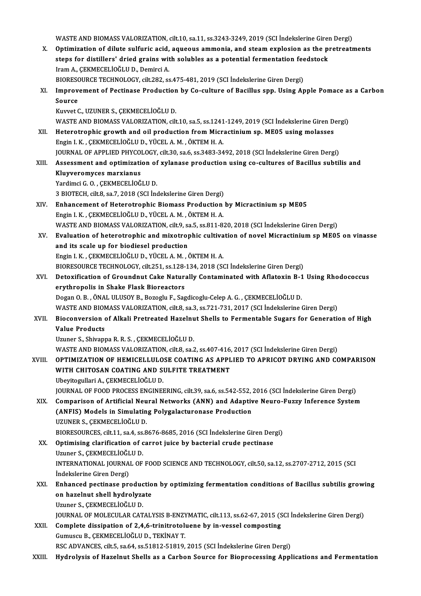WASTEANDBIOMASSVALORIZATION, cilt.10, sa.11, ss.3243-3249,2019 (SCI İndekslerineGirenDergi)

X. Optimization of dilute sulfuric acid, aqueous ammonia, and steamexplosion as the pretreatments WASTE AND BIOMASS VALORIZATION, cilt.10, sa.11, ss.3243-3249, 2019 (SCI İndekslerine Giren Optimization of dilute sulfuric acid, aqueous ammonia, and steam explosion as the pisteps for distillers' dried grains with soluble Optimization of dilute sulfuric acid,<br>steps for distillers' dried grains with the A., ÇEKMECELİOĞLUD., Demirci A.<br>PIOPESQUBCE TECHNOLOCY, silt 292, se steps for distillers' dried grains with solubles as a potential fermentation fee<br>Iram A., ÇEKMECELİOĞLU D., Demirci A.<br>BIORESOURCE TECHNOLOGY, cilt.282, ss.475-481, 2019 (SCI İndekslerine Giren Dergi)<br>Improvement of Pectin

Iram A., ÇEKMECELİOĞLU D., Demirci A.<br>BIORESOURCE TECHNOLOGY, cilt.282, ss.475-481, 2019 (SCI İndekslerine Giren Dergi)<br>XI. Improvement of Pectinase Production by Co-culture of Bacillus spp. Using Apple Pomace as a Car BIORESOURCE TECHNOLOGY, cilt.282, ss.475-481, 2019 (SCI Indekslerine Giren Dergi)<br>Improvement of Pectinase Production by Co-culture of Bacillus spp. Using A<sub>I</sub><br>Source<br>Kuvvet C., UZUNER S., CEKMECELIOĞLU D. Improvement of Pectinase Production<br>Source<br>Kuvvet C., UZUNER S., ÇEKMECELİOĞLU D.<br>WASTE AND PIOMASS VALOPIZATION cilt

WASTEANDBIOMASSVALORIZATION, cilt.10, sa.5, ss.1241-1249,2019 (SCI İndekslerineGirenDergi)

- Kuvvet C., UZUNER S., ÇEKMECELİOĞLU D.<br>WASTE AND BIOMASS VALORIZATION, cilt.10, sa.5, ss.1241-1249, 2019 (SCI İndekslerine Giren D.<br>XII. Heterotrophic growth and oil production from Micractinium sp. ME05 using molasses<br>Fag WASTE AND BIOMASS VALORIZATION, cilt.10, sa.5, ss.1241<br>Heterotrophic growth and oil production from Micra<br>Engin I. K. , ÇEKMECELİOĞLU D., YÜCEL A. M. , ÖKTEM H. A.<br>JOUPMAL OF APPLIED PHYCOLOCY, silt 20, sa 6, ss 2422, 24 Heterotrophic growth and oil production from Micractinium sp. ME05 using molasses<br>Engin I. K., ÇEKMECELİOĞLU D., YÜCEL A. M., ÖKTEM H. A.<br>JOURNAL OF APPLIED PHYCOLOGY, cilt.30, sa.6, ss.3483-3492, 2018 (SCI İndekslerine Gi Engin I. K., ÇEKMECELİOĞLU D., YÜCEL A. M., ÖKTEM H. A.<br>JOURNAL OF APPLIED PHYCOLOGY, cilt.30, sa.6, ss.3483-3492, 2018 (SCI İndekslerine Giren Dergi)<br>XIII. Assessment and optimization of xylanase production using co-c
- **JOURNAL OF APPLIED PHYCO<br>Assessment and optimizati<br>Kluyveromyces marxianus<br><sup>Vondimei C.O. CEKMECEL 10Č**</sup> Kluyveromyces marxianus<br>Yardimci G.O., ÇEKMECELİOĞLUD.

3 BIOTECH, cilt.8, sa.7, 2018 (SCI İndekslerine Giren Dergi)

- Yardimci G. O., ÇEKMECELİOĞLU D.<br>3 BIOTECH, cilt.8, sa.7, 2018 (SCI İndekslerine Giren Dergi)<br>XIV. Enhancement of Heterotrophic Biomass Production by Micractinium sp ME05<br>Facia L.K., CEKMECELİOĞLU D. VÜCEL A.M., ÖKTEM H.A. 3 BIOTECH, cilt.8, sa.7, 2018 (SCI İndekslerine Giren Dergi)<br>Enhancement of Heterotrophic Biomass Production<br>Engin I.K. , ÇEKMECELİOĞLU D., YÜCEL A.M. , ÖKTEM H.A.<br>WASTE AND PIOMASS VALOPIZATION silt 0, se 5, se 811, 8: Engin I. K. , ÇEKMECELİOĞLU D., YÜCEL A. M. , ÖKTEM H. A.<br>WASTE AND BIOMASS VALORIZATION, cilt.9, sa.5, ss.811-820, 2018 (SCI İndekslerine Giren Dergi) Engin I. K., ÇEKMECELİOĞLU D., YÜCEL A. M., ÖKTEM H. A.<br>WASTE AND BIOMASS VALORIZATION, cilt.9, sa.5, ss.811-820, 2018 (SCI İndekslerine Giren Dergi)<br>XV. Evaluation of heterotrophic and mixotrophic cultivation of novel
- WASTE AND BIOMASS VALORIZATION, cilt.9, sa<br>Evaluation of heterotrophic and mixotrop<br>and its scale up for biodiesel production<br>Engin LK, CEKMECELIOČLUD, VÜCELA M. 6 Evaluation of heterotrophic and mixotrophic cultiva<br>and its scale up for biodiesel production<br>Engin I. K. , ÇEKMECELİOĞLU D., YÜCEL A. M. , ÖKTEM H. A.<br>PIOPESQURCE TECHNOLOCY , silt 251, SS 129, 124, 2019 (SS and its scale up for biodiesel production<br>Engin I. K. , ÇEKMECELİOĞLU D., YÜCEL A. M. , ÖKTEM H. A.<br>BIORESOURCE TECHNOLOGY, cilt.251, ss.128-134, 2018 (SCI İndekslerine Giren Dergi)<br>Detexification of Croundput Ceke Natural

Engin I. K., ÇEKMECELİOĞLU D., YÜCEL A. M., ÖKTEM H. A.<br>BIORESOURCE TECHNOLOGY, cilt.251, ss.128-134, 2018 (SCI İndekslerine Giren Dergi)<br>XVI. Detoxification of Groundnut Cake Naturally Contaminated with Aflatoxin B-1 Usin BIORESOURCE TECHNOLOGY, cilt.251, ss.128-<br>Detoxification of Groundnut Cake Natur:<br>erythropolis in Shake Flask Bioreactors<br>Dogan O. B., ÖNAL ULUSOV B. Bogoglu E. Sag Detoxification of Groundnut Cake Naturally Contaminated with Aflatoxin B-1<br>erythropolis in Shake Flask Bioreactors<br>Dogan O.B., ÖNAL ULUSOY B., Bozoglu F., Sagdicoglu-Celep A. G. , ÇEKMECELİOĞLU D.<br>WASTE AND PIOMASS VALOPIZ erythropolis in Shake Flask Bioreactors<br>Dogan O. B. , ÖNAL ULUSOY B., Bozoglu F., Sagdicoglu-Celep A. G. , ÇEKMECELİOĞLU D.<br>WASTE AND BIOMASS VALORIZATION, cilt.8, sa.3, ss.721-731, 2017 (SCI İndekslerine Giren Dergi)<br>Pios

Dogan O. B. , ÖNAL ULUSOY B., Bozoglu F., Sagdicoglu-Celep A. G. , ÇEKMECELİOĞLU D.<br>WASTE AND BIOMASS VALORIZATION, cilt.8, sa.3, ss.721-731, 2017 (SCI İndekslerine Giren Dergi)<br>XVII. Bioconversion of Alkali Pretreated WASTE AND BION<br>Bioconversion<br>Value Products<br><sup>Haunor S.</sup> Shivan

Uzuner S., Shivappa R. R. S., ÇEKMECELİOĞLU D.

WASTE AND BIOMASS VALORIZATION, cilt.8, sa.2, ss.407-416, 2017 (SCI İndekslerine Giren Dergi)

### XVI I. OPTIMIZATION OF HEMICELLULOSE COATING AS APPLIED TO APRICOT DRYING AND COMPARISON WASTE AND BIOMASS VALORIZATION, cilt.8, sa.2, ss.407-416,<br>OPTIMIZATION OF HEMICELLULOSE COATING AS APPL<br>WITH CHITOSAN COATING AND SULFITE TREATMENT<br>Ubevite welleri A. CEKMECELIOČLU D WITH CHITOSAN COATING AND SULFITE TREATMENT<br>Ubeyitogullari A., ÇEKMECELİOĞLU D. WITH CHITOSAN COATING AND SULFITE TREATMENT<br>Ubeyitogullari A., ÇEKMECELİOĞLU D.<br>JOURNAL OF FOOD PROCESS ENGINEERING, cilt.39, sa.6, ss.542-552, 2016 (SCI İndekslerine Giren Dergi)<br>Comporison of Artificial Neuvel Networks (

Ubeyitogullari A., ÇEKMECELİOĞLU D.<br>JOURNAL OF FOOD PROCESS ENGINEERING, cilt.39, sa.6, ss.542-552, 2016 (SCI İndekslerine Giren Dergi)<br>XIX. Comparison of Artificial Neural Networks (ANN) and Adaptive Neuro-Fuzzy Infer JOURNAL OF FOOD PROCESS ENGINEERING, cilt.39, sa.6, ss.542-552, <br>Comparison of Artificial Neural Networks (ANN) and Adaptiv<br>(ANFIS) Models in Simulating Polygalacturonase Production<br>UZUNER S. CEKMECELIOČLUD XIX. Comparison of Artificial Neural Networks (ANN) and Adaptive Neuro-Fuzzy Inference System<br>(ANFIS) Models in Simulating Polygalacturonase Production<br>UZUNER S., ÇEKMECELİOĞLU D. (ANFIS) Models in Simulating Polygalacturonase Production<br>UZUNER S., ÇEKMECELİOĞLU D.<br>BIORESOURCES, cilt.11, sa.4, ss.8676-8685, 2016 (SCI İndekslerine Giren Dergi)<br>Ontimising elerification of carret iuice by basterial sru

- UZUNER S., ÇEKMECELİOĞLU D.<br>BIORESOURCES, cilt.11, sa.4, ss.8676-8685, 2016 (SCI İndekslerine Giren Der<br>XX. Optimising clarification of carrot juice by bacterial crude pectinase<br>Uzuner S. CEKMECELİOĞLU D. BIORESOURCES, cilt.11, sa.4, ss.<br>Optimising clarification of c<br>Uzuner S., ÇEKMECELİOĞLU D.<br>INTERNATIONAL IOURNAL OF XX. Optimising clarification of carrot juice by bacterial crude pectinase<br>Uzuner S., ÇEKMECELİOĞLU D.<br>INTERNATIONAL JOURNAL OF FOOD SCIENCE AND TECHNOLOGY, cilt.50, sa.12, ss.2707-2712, 2015 (SCI<br>Indekslerine Giren Dergi) Uzuner S., ÇEKMECELİOĞLU D. INTERNATIONAL JOURNAL OF FOOD SCIENCE AND TECHNOLOGY, cilt.50, sa.12, ss.2707-2712, 2015 (SCI<br>Indekslerine Giren Dergi)<br>XXI. Enhanced pectinase production by optimizing fermentation conditions of Bacillus subtilis growing<br>
- İndekslerine Giren Dergi)<br>Enhanced pectinase productio<br>on hazelnut shell hydrolyzate<br>Uruner S. GEKMEGEI İQĞLU D Enhanced pectinase produc<br>on hazelnut shell hydrolyza<br>Uzuner S., ÇEKMECELİOĞLU D.<br>JOUPMAL OF MOLECULAR CAT on hazelnut shell hydrolyzate<br>Uzuner S., ÇEKMECELİOĞLU D.<br>JOURNAL OF MOLECULAR CATALYSIS B-ENZYMATIC, cilt.113, ss.62-67, 2015 (SCI İndekslerine Giren Dergi)<br>Complete dissipation of 3.4 6 tripitratalyona by in yeasel sompo

Uzuner S., ÇEKMECELİOĞLU D.<br>JOURNAL OF MOLECULAR CATALYSIS B-ENZYMATIC, cilt.113, ss.62-67, 2015 (S<br>XXII. Complete dissipation of 2,4,6-trinitrotoluene by in-vessel composting<br>Gumuscu B., ÇEKMECELİOĞLU D., TEKİNAY T. JOURNAL OF MOLECULAR CATALYSIS B-ENZY<br>Complete dissipation of 2,4,6-trinitrotolo<br>Gumuscu B., ÇEKMECELİOĞLU D., TEKİNAY T.<br>BSC ADVANCES, silt 5, sə 64, sə 51912, 51919. RSC ADVANCES, cilt.5, sa.64, ss.51812-51819, 2015 (SCI İndekslerine Giren Dergi)

XXIII. Hydrolysis of Hazelnut Shells as a Carbon Source for Bioprocessing Applications and Fermentation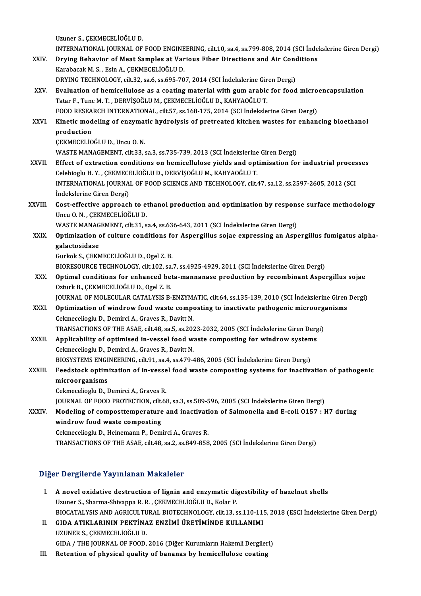Uzuner S.,ÇEKMECELİOĞLUD.

Uzuner S., ÇEKMECELİOĞLU D.<br>INTERNATIONAL JOURNAL OF FOOD ENGINEERING, cilt.10, sa.4, ss.799-808, 2014 (SCI İndekslerine Giren Dergi)<br>Paving Behavier of Mest Samples et Varieus Fiber Directions and Air Conditions

- XXIV. Drying Behavior of Meat Samples at Various Fiber Directions and Air Conditions<br>Karabacak M. S., Esin A., CEKMECELIOGLU D. INTERNATIONAL JOURNAL OF FOOD ENGINE<br>Drying Behavior of Meat Samples at Var<br>Karabacak M. S. , Esin A., ÇEKMECELİOĞLU D.<br>DRYING TECHNOLOCY silt 32.90 6.90 605.70 DRYING TECHNOLOGY, cilt.32, sa.6, ss.695-707, 2014 (SCI İndekslerine Giren Dergi) Karabacak M. S. , Esin A., ÇEKMECELİOĞLU D.<br>DRYING TECHNOLOGY, cilt.32, sa.6, ss.695-707, 2014 (SCI İndekslerine Giren Dergi)<br>XXV. Evaluation of hemicellulose as a coating material with gum arabic for food microencapsu
- Tatar F., Tunc M. T. , DERVİŞOĞLU M., ÇEKMECELİOĞLU D., KAHYAOĞLU T.<br>FOOD RESEARCH INTERNATIONAL, cilt.57, ss.168-175, 2014 (SCI İndekslerine Giren Dergi) Evaluation of hemicellulose as a coating material with gum arabic for food micro<br>Tatar F., Tunc M. T. , DERVİŞOĞLU M., ÇEKMECELİOĞLU D., KAHYAOĞLU T.<br>FOOD RESEARCH INTERNATIONAL, cilt.57, ss.168-175, 2014 (SCI İndekslerine Tatar F., Tunc M. T. , DERVİŞOĞLU M., ÇEKMECELİOĞLU D., KAHYAOĞLU T.<br>FOOD RESEARCH INTERNATIONAL, cilt.57, ss.168-175, 2014 (SCI İndekslerine Giren Dergi)<br>XXVI. Kinetic modeling of enzymatic hydrolysis of pretreated ki

### FOOD RESEA<br>Kinetic mod<br>production<br>CEKMECELIO Kinetic modeling of enzymat<br>production<br>ÇEKMECELİOĞLU D., Uncu O. N.<br>WASTE MANACEMENT. cil: 22 production<br>ÇEKMECELİOĞLU D., Uncu O. N.<br>WASTE MANAGEMENT, cilt.33, sa.3, ss.735-739, 2013 (SCI İndekslerine Giren Dergi)

CEKMECELIOĞLU D., Uncu O. N.<br>WASTE MANAGEMENT, cilt.33, sa.3, ss.735-739, 2013 (SCI Indekslerine Giren Dergi)<br>XXVII. Effect of extraction conditions on hemicellulose yields and optimisation for industrial processes<br>Celebia WASTE MANAGEMENT, cilt.33, sa.3, ss.735-739, 2013 (SCI İndekslerine<br>Effect of extraction conditions on hemicellulose yields and opt<br>Celebioglu H.Y. , ÇEKMECELİOĞLU D., DERVİŞOĞLU M., KAHYAOĞLU T.<br>INTERNATIONAL JOURNAL OF F Effect of extraction conditions on hemicellulose yields and optimisation for industrial proces<br>Celebioglu H. Y. , ÇEKMECELİOĞLU D., DERVİŞOĞLU M., KAHYAOĞLU T.<br>INTERNATIONAL JOURNAL OF FOOD SCIENCE AND TECHNOLOGY, cilt.47, Celebioglu H. Y. , ÇEKMECI<br>INTERNATIONAL JOURNA<br>İndekslerine Giren Dergi)<br>Cost effective annuacek INTERNATIONAL JOURNAL OF FOOD SCIENCE AND TECHNOLOGY, cilt.47, sa.12, ss.2597-2605, 2012 (SCI<br>Indekslerine Giren Dergi)<br>XXVIII. Cost-effective approach to ethanol production and optimization by response surface methodology

# İndekslerine Giren Dergi)<br>Cost-effective approach to e<br>Uncu O.N., ÇEKMECELİOĞLU D.<br>WASTE MANACEMENT, silt 21.2 Cost-effective approach to ethanol production and optimization by respon:<br>Uncu O. N. , ÇEKMECELİOĞLU D.<br>WASTE MANAGEMENT, cilt.31, sa.4, ss.636-643, 2011 (SCI İndekslerine Giren Dergi)<br>Ontimization of sulture conditions fo

Uncu O. N. , ÇEKMECELİOĞLU D.<br>WASTE MANAGEMENT, cilt.31, sa.4, ss.636-643, 2011 (SCI İndekslerine Giren Dergi)<br>XXIX. Optimization of culture conditions for Aspergillus sojae expressing an Aspergillus fumigatus alpha-<br>c WASTE MANAG<br>Optimization<br>galactosidase<br>Curkek S. CEEA **Optimization of culture conditions fo<br>galactosidase<br>Gurkok S., ÇEKMECELİOĞLU D., Ogel Z. B.**<br>PIOPESOUPCE TECHNOLOCY, silt 102. S. galactosidase<br>Gurkok S., ÇEKMECELİOĞLU D., Ogel Z. B.<br>BIORESOURCE TECHNOLOGY, cilt.102, sa.7, ss.4925-4929, 2011 (SCI İndekslerine Giren Dergi)<br>Ontimal canditians far anhansad beta mannanase produstian by resembinant Aspel

Gurkok S., ÇEKMECELİOĞLU D., Ogel Z. B.<br>BIORESOURCE TECHNOLOGY, cilt.102, sa.7, ss.4925-4929, 2011 (SCI İndekslerine Giren Dergi)<br>XXX. Optimal conditions for enhanced beta-mannanase production by recombinant Aspergillus so BIORESOURCE TECHNOLOGY, cilt.102, sa<br>Optimal conditions for enhanced be<br>Ozturk B., ÇEKMECELİOĞLU D., Ogel Z. B.<br>JOUPNAL OF MOLECULAR CATALYSIS R

JOURNAL OF MOLECULAR CATALYSIS B-ENZYMATIC, cilt.64, ss.135-139, 2010 (SCI İndekslerine Giren Dergi)

Ozturk B., ÇEKMECELİOĞLU D., Ogel Z. B.<br>JOURNAL OF MOLECULAR CATALYSIS B-ENZYMATIC, cilt.64, ss.135-139, 2010 (SCI İndekslerine Giren<br>XXXI. Optimization of windrow food waste composting to inactivate pathogenic microorgani JOURNAL OF MOLECULAR CATALYSIS B-ENZYM.<br>Optimization of windrow food waste compo<br>Cekmecelioglu D., Demirci A., Graves R., Davitt N.<br>TRANSACTIONS OF THE ASAE gilt 48, co 5, co 202 Optimization of windrow food waste composting to inactivate pathogenic microorg<br>Cekmecelioglu D., Demirci A., Graves R., Davitt N.<br>TRANSACTIONS OF THE ASAE, cilt.48, sa.5, ss.2023-2032, 2005 (SCI İndekslerine Giren Dergi)<br>

Cekmecelioglu D., Demirci A., Graves R., Davitt N.<br>TRANSACTIONS OF THE ASAE, cilt.48, sa.5, ss.2023-2032, 2005 (SCI indekslerine Giren Derg<br>XXXII. Applicability of optimised in-vessel food waste composting for windrow syst TRANSACTIONS OF THE ASAE, cilt.48, sa.5, ss.202<br>Applicability of optimised in-vessel food w:<br>Cekmecelioglu D., Demirci A., Graves R., Davitt N.<br>PLOSVSTEMS ENGINEERING silt.01, sp.4, ss.470.4 Applicability of optimised in-vessel food waste composting for windrow system<br>Cekmecelioglu D., Demirci A., Graves R., Davitt N.<br>BIOSYSTEMS ENGINEERING, cilt.91, sa.4, ss.479-486, 2005 (SCI İndekslerine Giren Dergi)<br>Feedst

# Cekmecelioglu D., Demirci A., Graves R., Davitt N.<br>BIOSYSTEMS ENGINEERING, cilt.91, sa.4, ss.479-486, 2005 (SCI Indekslerine Giren Dergi)<br>XXXIII. Feedstock optimization of in-vessel food waste composting systems for inacti BIOSYSTEMS ENGI<br>Feedstock optim<br>microorganisms<br>Celmeseliach: D. J Feedstock optimization of in-vesse<br>microorganisms<br>Cekmecelioglu D., Demirci A., Graves R.<br>JOUPNAL OF FOOD PROTECTION sit 6

microorganisms<br>Cekmecelioglu D., Demirci A., Graves R.<br>JOURNAL OF FOOD PROTECTION, cilt.68, sa.3, ss.589-596, 2005 (SCI İndekslerine Giren Dergi)

# Cekmecelioglu D., Demirci A., Graves R.<br>JOURNAL OF FOOD PROTECTION, cilt.68, sa.3, ss.589-596, 2005 (SCI Indekslerine Giren Dergi)<br>XXXIV. Modeling of composttemperature and inactivation of Salmonella and E-coli 0157 : H7 d windrow food waste composting<br>Cekmecelioglu D., Heinemann P., Demirci A., Graves R. Modeling of composttemperature and inactivati<br>windrow food waste composting<br>Cekmecelioglu D., Heinemann P., Demirci A., Graves R.<br>TRANSACTIONS OF THE ASAF silt 48, ss 2, ss 940, 959

TRANSACTIONSOF THEASAE, cilt.48, sa.2, ss.849-858,2005 (SCI İndekslerineGirenDergi)

#### Diğer Dergilerde Yayınlanan Makaleler

- Iger Dergilerde Yayınlanan Makaleler<br>I. A novel oxidative destruction of lignin and enzymatic digestibility of hazelnut shells<br>Unuar S. Sharma Shivanne B. B. CEKMECELIOČLU D. Kolar B. N Dergifer de Tay Infantan Makdreier<br>A novel oxidative destruction of lignin and enzymatic di<sub>l</sub><br>Uzuner S., Sharma-Shivappa R. R. , ÇEKMECELİOĞLU D., Kolar P.<br>PIOCATALYSIS AND ACRICULTURAL PIOTECHNOLOCY si<sup>1542</sup> Uzuner S., Sharma-Shivappa R. R. , ÇEKMECELİOĞLU D., Kolar P.<br>BIOCATALYSIS AND AGRICULTURAL BIOTECHNOLOGY, cilt.13, ss.110-115, 2018 (ESCI İndekslerine Giren Dergi) Uzuner S., Sharma-Shivappa R. R. , ÇEKMECELİOĞLU D., Kolar P.<br>BIOCATALYSIS AND AGRICULTURAL BIOTECHNOLOGY, cilt.13, ss.110-11!<br>II. GIDA ATIKLARININ PEKTİNAZ ENZİMİ ÜRETİMİNDE KULLANIMI
- BIOCATALYSIS AND AGRICULTU<br>GIDA ATIKLARININ PEKTİNA<br>UZUNER S., ÇEKMECELİOĞLU D.<br>CIDA / THE JOUPNAL OF FOOD. UZUNER S., ÇEKMECELİOĞLU D.<br>GIDA / THE JOURNAL OF FOOD, 2016 (Diğer Kurumların Hakemli Dergileri)
- III. Retention of physical quality of bananas by hemicellulose coating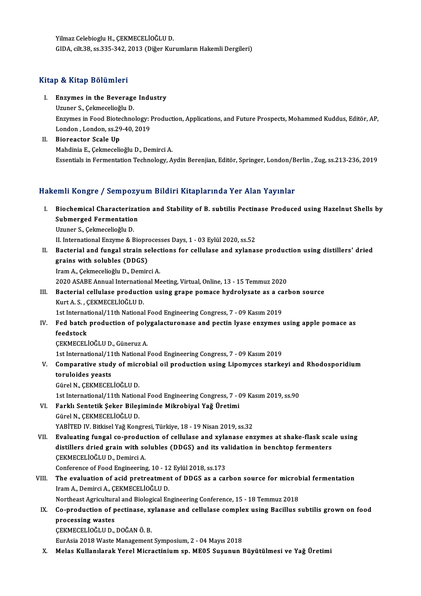Yilmaz Celebioglu H., ÇEKMECELİOĞLU D. GIDA, cilt.38, ss.335-342, 2013 (Diğer Kurumların Hakemli Dergileri)

#### Kitap & Kitap Bölümleri

Itap & Kitap Bölümleri<br>I. Enzymes in the Beverage Industry<br>Umper S. Colmosolieğlu D

Enzymes in the Beverage<br>Uzuner S., Çekmecelioğlu D.<br>Enzymes in Eeed Bistechne Enzymes in the Beverage Industry<br>Uzuner S., Çekmecelioğlu D.<br>Enzymes in Food Biotechnology: Production, Applications, and Future Prospects, Mohammed Kuddus, Editör, AP,<br>Landan, Landan, 85,29,40, 2019. Uzuner S., Çekmecelioğlu D.<br>Enzymes in Food Biotechnology: l<br>London , London, ss.29-40, 2019<br>Pioreastar Ssale Un

London, London, ss.29-40, 2019<br>II. Bioreactor Scale Up MahdiniaE.,ÇekmecelioğluD.,DemirciA. Essentials inFermentationTechnology,AydinBerenjian,Editör,Springer,London/Berlin,Zug, ss.213-236,2019

#### Hakemli Kongre / Sempozyum Bildiri Kitaplarında Yer Alan Yayınlar

akemli Kongre / Sempozyum Bildiri Kitaplarında Yer Alan Yayınlar<br>I. Biochemical Characterization and Stability of B. subtilis Pectinase Produced using Hazelnut Shells by<br>Submerged Fermentation Submerged Fermentation<br>Submerged Fermentation<br>Uruner S. Colmosolioğlu D. Biochemical Characteriza<br>Submerged Fermentation<br>Uzuner S., Çekmecelioğlu D.<br>U. International Engume & B Submerged Fermentation<br>Uzuner S., Çekmecelioğlu D.<br>II. International Enzyme & Bioprocesses Days, 1 - 03 Eylül 2020, ss.52<br>Basterial and fungal strain selestions for sellulase and vylanas

Uzuner S., Çekmecelioğlu D.<br>II. International Enzyme & Bioprocesses Days, 1 - 03 Eylül 2020, ss.52<br>II. Bacterial and fungal strain selections for cellulase and xylanase production using distillers' dried<br> II. International Enzyme & Biopre<br>Bacterial and fungal strain se<br>grains with solubles (DDGS)<br>Iram A. Colmosolioğlu D. Domir Bacterial and fungal strain select<br>grains with solubles (DDGS)<br>Iram A., Çekmecelioğlu D., Demirci A.<br>2020 ASAPE Annual International M grains with solubles (DDGS)<br>Iram A., Çekmecelioğlu D., Demirci A.<br>2020 ASABE Annual International Meeting, Virtual, Online, 13 - 15 Temmuz 2020

### III. Bacterial cellulase production using grape pomace hydrolysate as a carbon source KurtA.S. ,ÇEKMECELİOĞLUD. Bacterial cellulase production using grape pomace hydrolysate as a ca<br>Kurt A. S. , ÇEKMECELİOĞLU D.<br>1st International/11th National Food Engineering Congress, 7 - 09 Kasım 2019<br>Eed bateb production of polygelosturenees and

Kurt A. S. , ÇEKMECELİOĞLU D.<br>1st International/11th National Food Engineering Congress, 7 - 09 Kasım 2019<br>IV. Fed batch production of polygalacturonase and pectin lyase enzymes using apple pomace as<br>foodstack 1st Internat<br>Fed batch<br>feedstock<br>CEVMECEL Fed batch production of poly<br>feedstock<br>ÇEKMECELİOĞLU D., Güneruz A.<br>1st International (11th National I feedstock<br>ÇEKMECELİOĞLU D., Güneruz A.<br>1st International/11th National Food Engineering Congress, 7 - 09 Kasım 2019

### CEKMECELİOĞLU D., Güneruz A.<br>1st International/11th National Food Engineering Congress, 7 - 09 Kasım 2019<br>V. Comparative study of microbial oil production using Lipomyces starkeyi and Rhodosporidium<br>topulaides yeasts 1st International/11<br>Comparative stud<br>toruloides yeasts Comparative study of micr<br>toruloides yeasts<br>Gürel N., ÇEKMECELİOĞLU D.<br>1st International/11th Nation toruloides yeasts<br>1915 - Gürel N., ÇEKMECELİOĞLU D.<br>1st International/11th National Food Engineering Congress, 7 - 09 Kasım 2019, ss.90

# Gürel N., ÇEKMECELİOĞLU D.<br>1st International/11th National Food Engineering Congress, 7 - (<br>VI. Farklı Sentetik Şeker Bileşiminde Mikrobiyal Yağ Üretimi<br>Gürel N. GEKMECELİOĞLU D. 1st International/11th Nation<br>Farklı Sentetik Şeker Bileş<br>Gürel N., ÇEKMECELİOĞLU D.<br>YARİTED IV. Bitkisel Yeğ Kons Farklı Sentetik Şeker Bileşiminde Mikrobiyal Yağ Üretimi<br>Gürel N., ÇEKMECELİOĞLU D.<br>YABİTED IV. Bitkisel Yağ Kongresi, Türkiye, 18 - 19 Nisan 2019, ss.32<br>Evaluating fungal so production of sallulasa and vylanasa and

- 
- Gürel N., ÇEKMECELİOĞLU D.<br>YABİTED IV. Bitkisel Yağ Kongresi, Türkiye, 18 19 Nisan 2019, ss.32<br>VII. Evaluating fungal co-production of cellulase and xylanase enzymes at shake-flask scale using<br>distillers dried grain YABİTED IV. Bitkisel Yağ Kongresi, Türkiye, 18 - 19 Nisan 2019, ss.32<br>Evaluating fungal co-production of cellulase and xylanase enzymes at shake-flask scal<br>distillers dried grain with solubles (DDGS) and its validation in Evaluating fungal co-produc<br>distillers dried grain with sc<br>CEKMECELİOĞLUD., Demirci A. distillers dried grain with solubles (DDGS) and its va<br>CEKMECELİOĞLU D., Demirci A.<br>Conference of Food Engineering, 10 - 12 Eylül 2018, ss.173<br>The evaluation of asid protrestment of DDCS as a sex

## CEKMECELIOĞLU D., Demirci A.<br>Conference of Food Engineering, 10 - 12 Eylül 2018, ss.173<br>VIII. The evaluation of acid pretreatment of DDGS as a carbon source for microbial fermentation<br>Iram A., Demirci A., CEKMECELIOĞLU D. Conference of Food Engineering, 10 - 12<br>The evaluation of acid pretreatmen<br>Iram A., Demirci A., ÇEKMECELİOĞLU D.<br>Nextbeest Asrisultural and Biological En The evaluation of acid pretreatment of DDGS as a carbon source for microl<br>Iram A., Demirci A., ÇEKMECELİOĞLU D.<br>Northeast Agricultural and Biological Engineering Conference, 15 - 18 Temmuz 2018<br>Co production of postinese,

### Iram A., Demirci A., ÇEKMECELİOĞLU D.<br>Northeast Agricultural and Biological Engineering Conference, 15 - 18 Temmuz 2018<br>IX. Co-production of pectinase, xylanase and cellulase complex using Bacillus subtilis grown on fo **Northeast Agricultura**<br>Co-production of p<br>processing wastes<br>CEKMECELIOČLU D Co-production of pectinase, xy<br>processing wastes<br>ÇEKMECELİOĞLU D., DOĞAN Ö. B.<br>Eurásia 2018 Weste Management processing wastes<br>ÇEKMECELİOĞLU D., DOĞAN Ö. B.<br>EurAsia 2018 Waste Management Symposium, 2 - 04 Mayıs 2018

X. Melas Kullanılarak Yerel Micractinium sp. ME05 Suşunun Büyütülmesi ve Yağ Üretimi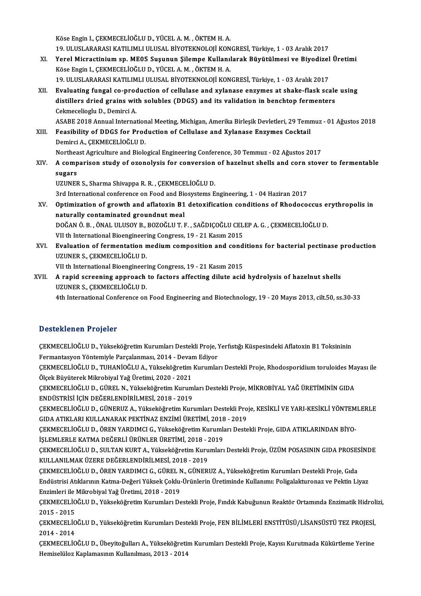KöseEnginI.,ÇEKMECELİOĞLUD.,YÜCELA.M. ,ÖKTEMH.A.

Köse Engin I., ÇEKMECELİOĞLU D., YÜCEL A. M. , ÖKTEM H. A.<br>19. ULUSLARARASI KATILIMLI ULUSAL BİYOTEKNOLOJİ KONGRESİ, Türkiye, 1 - 03 Aralık 2017<br>Yaral Misrastiniyya an. MEOE Susunun Silamna Kullanılarak Büyütülmasi ve Biyo

- Köse Engin I., ÇEKMECELİOĞLU D., YÜCEL A. M. , ÖKTEM H. A.<br>19. ULUSLARARASI KATILIMLI ULUSAL BİYOTEKNOLOJİ KONGRESİ, Türkiye, 1 03 Aralık 2017<br>XI. Yerel Micractinium sp. ME05 Suşunun Şilempe Kullanılarak Büyütülmesi 19. ULUSLARARASI KATILIMLI ULUSAL BİYOTEKNOLOJİ KON<br>Yerel Micractinium sp. ME05 Suşunun Şilempe Kullanı<br>Köse Engin I., ÇEKMECELİOĞLU D., YÜCEL A.M. , ÖKTEM H. A.<br>10. ULUSLARARASI KATILIMLI IILISAL BİYOTEKNOLOJİ KON Yerel Micractinium sp. ME05 Suşunun Şilempe Kullanılarak Büyütülmesi ve Biyodizel<br>Köse Engin I., ÇEKMECELİOĞLU D., YÜCEL A. M. , ÖKTEM H. A.<br>19. ULUSLARARASI KATILIMLI ULUSAL BİYOTEKNOLOJİ KONGRESİ, Türkiye, 1 - 03 Aralık Köse Engin I., ÇEKMECELİOĞLU D., YÜCEL A. M. , ÖKTEM H. A.<br>19. ULUSLARARASI KATILIMLI ULUSAL BİYOTEKNOLOJİ KONGRESİ, Türkiye, 1 - 03 Aralık 2017<br>XII. Bvaluating fungal co-production of cellulase and xylanase enzymes at sha
	-
- 19. ULUSLARARASI KATILIMLI ULUSAL BİYOTEKNOLOJİ KONGRESİ, Türkiye, 1 03 Aralık 2017<br>Evaluating fungal co-production of cellulase and xylanase enzymes at shake-flask scale<br>distillers dried grains with solubles (DDGS) and distillers dried grains with solubles (DDGS) and its validation in benchtop fermenters Cekmecelioglu D., Demirci A.

ASABE 2018 Annual International Meeting, Michigan, Amerika Birleşik Devletleri, 29 Temmuz - 01 Ağustos 2018

Cekmecelioglu D., Demirci A.<br>ASABE 2018 Annual International Meeting, Michigan, Amerika Birleşik Devletleri, 29 Temr<br>XIII. Peasibility of DDGS for Production of Cellulase and Xylanase Enzymes Cocktail ASABE 2018 Annual Internation<br>Feasibility of DDGS for Prod<br>Demirci A., ÇEKMECELİOĞLU D.<br>Northeast Asriquiture and Biolo Feasibility of DDGS for Production of Cellulase and Xylanase Enzymes Cocktail<br>Demirci A., ÇEKMECELİOĞLU D.<br>Northeast Agriculture and Biological Engineering Conference, 30 Temmuz - 02 Ağustos 2017<br>A semperisen study of exem

Demirci A., ÇEKMECELİOĞLU D.<br>Northeast Agriculture and Biological Engineering Conference, 30 Temmuz - 02 Ağustos 2017<br>XIV. A comparison study of ozonolysis for conversion of hazelnut shells and corn stover to fermentab Northea<br>A comp<br>sugars<br>UZUNET A comparison study of ozonolysis for conversion<br>sugars<br>UZUNER S., Sharma Shivappa R. R. , ÇEKMECELİOĞLU D.<br><sup>2nd</sup> International conference en Eood and Bioquateme E sugars<br>3rd International Shivappa R. R. , ÇEKMECELİOĞLU D.<br>3rd International conference on Food and Biosystems Engineering, 1 - 04 Haziran 2017

- UZUNER S., Sharma Shivappa R. R. , ÇEKMECELİOĞLU D.<br>3rd International conference on Food and Biosystems Engineering, 1 04 Haziran 2017<br>XV. Optimization of growth and aflatoxin B1 detoxification conditions of Rhodococ 3rd International conference on Food and Bio<br>Optimization of growth and aflatoxin B1<br>naturally contaminated groundnut meal<br>DOČAN Ö B., ÖNAL HUKOV B. POZOČLUT L Optimization of growth and aflatoxin B1 detoxification conditions of Rhodococcus explore that the produce of the state of the DOĞAN Ö.B. , ÖNAL ULUSOY B., BOZOĞLUT.F. , SAĞDIÇOĞLU CELEP A.G. , ÇEKMECELİOĞLU D.<br>DOĞAN Ö.B. , naturally contaminated groundnut meal<br>DOĞAN Ö. B. , ÖNAL ULUSOY B., BOZOĞLU T. F. , SAĞDIÇOĞLU CEL<br>VII th International Bioengineering Congress, 19 - 21 Kasım 2015<br>Evaluation of formantation medium composition and sand
- DOĞAN Ö. B. , ÖNAL ULUSOY B., BOZOĞLU T. F. , SAĞDIÇOĞLU CELEP A. G. , ÇEKMECELİOĞLU D.<br>VII th International Bioengineering Congress, 19 21 Kasım 2015<br>XVI. Evaluation of fermentation medium composition and conditions VII th International Bioengineeri<br>Evaluation of fermentation n<br>UZUNER S., ÇEKMECELİOĞLU D.<br>VII th International Bioengineeri Evaluation of fermentation medium composition and cond<br>UZUNER S., ÇEKMECELİOĞLU D.<br>VII th International Bioengineering Congress, 19 - 21 Kasım 2015<br>A rapid sereening approach to factors affecting dilute asid

XVII. A rapid screening approach to factors affecting dilute acid hydrolysis of hazelnut shells<br>UZUNER S., CEKMECELIOGLU D. VII th International Bioengineeri<br>A rapid screening approach<br>UZUNER S., ÇEKMECELİOĞLU D.<br>4th International Conference en

4th International Conference on Food Engineering and Biotechnology, 19 - 20 Mayıs 2013, cilt.50, ss.30-33

#### Desteklenen Projeler

Desteklenen Projeler<br>ÇEKMECELİOĞLU D., Yükseköğretim Kurumları Destekli Proje, Yerfıstığı Küspesindeki Aflatoxin B1 Toksininin<br>Fermantasyon Yöntemiyle Parsalanması, 2014, Deyam Ediyer B SSCERRENDA I I SYSTEI<br>ÇEKMECELİOĞLU D., Yükseköğretim Kurumları Destekli Proje, Y<br>Fermantasyon Yöntemiyle Parçalanması, 2014 - Devam Ediyor<br>CEKMECELİOĞLU D. TUHANİOĞLU A. Völkediğ ğretim Kurumlar ÇEKMECELİOĞLU D., Yükseköğretim Kurumları Destekli Proje, Yerfistığı Küspesindeki Aflatoxin B1 Toksininin<br>Fermantasyon Yöntemiyle Parçalanması, 2014 - Devam Ediyor<br>ÇEKMECELİOĞLU D., TUHANİOĞLU A., Yükseköğretim Kurumları D Fermantasyon Yöntemiyle Parçalanması, 2014 - Devam Ediyor<br>ÇEKMECELİOĞLU D., TUHANİOĞLU A., Yükseköğretim Kurumları Destekli Proje, Rhodosporidium toruloides Ma<br>Ölçek Büyüterek Mikrobiyal Yağ Üretimi, 2020 - 2021<br>ÇEKMECELİO ÇEKMECELİOĞLU D., TUHANİOĞLU A., Yükseköğretim Kurumları Destekli Proje, Rhodosporidium toruloides Ma<br>Ölçek Büyüterek Mikrobiyal Yağ Üretimi, 2020 - 2021<br>ÇEKMECELİOĞLU D., GÜREL N., Yükseköğretim Kurumları Destekli Proje, ENDÜSTRİSİ İÇİNDEĞERLENDİRİLMESİ,2018 -2019 ÇEKMECELİOĞLU D., GÜREL N., Yükseköğretim Kurumları Destekli Proje, MİKROBİYAL YAĞ ÜRETİMİNİN GIDA<br>ENDÜSTRİSİ İÇİN DEĞERLENDİRİLMESİ, 2018 - 2019<br>ÇEKMECELİOĞLU D., GÜNERUZ A., Yükseköğretim Kurumları Destekli Proje, KESİKL ENDÜSTRİSİ İÇİN DEĞERLENDİRİLMESİ, 2018 - 2019<br>ÇEKMECELİOĞLU D., GÜNERUZ A., Yükseköğretim Kurumları Destekli Pro<br>GIDA ATIKLARI KULLANARAK PEKTİNAZ ENZİMİ ÜRETİMİ, 2018 - 2019<br>CEKMECELİOĞLU D., ÖREN YARDIMCLE, Yükseköğreti ÇEKMECELİOĞLU D., GÜNERUZ A., Yükseköğretim Kurumları Destekli Proje, KESİKLİ VE YARI-KESİKLİ YÖNTEM<br>GIDA ATIKLARI KULLANARAK PEKTİNAZ ENZİMİ ÜRETİMİ, 2018 - 2019<br>ÇEKMECELİOĞLU D., ÖREN YARDIMCI G., Yükseköğretim Kurumları GIDA ATIKLARI KULLANARAK PEKTİNAZ ENZİMİ ÜRETİMİ, 2018<br>ÇEKMECELİOĞLU D., ÖREN YARDIMCI G., Yükseköğretim Kurumla<br>İŞLEMLERLE KATMA DEĞERLİ ÜRÜNLER ÜRETİMİ, 2018 - 2019<br>CEKMECELİOĞLU D., SULTAN KURT A., Yükseköğretim Kurumla ÇEKMECELİOĞLU D., ÖREN YARDIMCI G., Yükseköğretim Kurumları Destekli Proje, GIDA ATIKLARINDAN BİYO-<br>İŞLEMLERLE KATMA DEĞERLİ ÜRÜNLER ÜRETİMİ, 2018 - 2019<br>ÇEKMECELİOĞLU D., SULTAN KURT A., Yükseköğretim Kurumları Destekli P İŞLEMLERLE KATMA DEĞERLİ ÜRÜNLER ÜRETİMİ, 2018 - 2<br>ÇEKMECELİOĞLU D., SULTAN KURT A., Yükseköğretim Kuru<br>KULLANILMAK ÜZERE DEĞERLENDİRİLMESİ, 2018 - 2019<br>CEKMECELİOĞLU D., ÖREN YARDIMCI C., CÜREL N., CÜNERI ÇEKMECELİOĞLU D., SULTAN KURT A., Yükseköğretim Kurumları Destekli Proje, ÜZÜM POSASININ GIDA PROSES<br>KULLANILMAK ÜZERE DEĞERLENDİRİLMESİ, 2018 - 2019<br>ÇEKMECELİOĞLU D., ÖREN YARDIMCI G., GÜREL N., GÜNERUZ A., Yükseköğretim KULLANILMAK ÜZERE DEĞERLENDİRİLMESİ, 2018 - 2019<br>ÇEKMECELİOĞLU D., ÖREN YARDIMCI G., GÜREL N., GÜNERUZ A., Yükseköğretim Kurumları Destekli Proje, Gıda<br>Endüstrisi Atıklarının Katma-Değeri Yüksek Çoklu-Ürünlerin Üretiminde ÇEKMECELİOĞLU D., ÖREN YARDIMCI G., GÜREL N<br>Endüstrisi Atıklarının Katma-Değeri Yüksek Çoklu-<br>Enzimleri ile Mikrobiyal Yağ Üretimi, 2018 - 2019<br>CEKMECELİOĞLU D. Yükseköğretim Kurumları De ÇEKMECELİOĞLU D., Yükseköğretim Kurumları Destekli Proje, Fındık Kabuğunun Reaktör Ortamında Enzimatik Hidrolizi,<br>2015 - 2015 Enzimleri ile<br>ÇEKMECELİO<br>2015 - 2015<br>CEKMECELİO ÇEKMECELİOĞLU D., Yükseköğretim Kurumları Destekli Proje, Fındık Kabuğunun Reaktör Ortamında Enzimatik Hidrol<br>2015 - 2015<br>ÇEKMECELİOĞLU D., Yükseköğretim Kurumları Destekli Proje, FEN BİLİMLERİ ENSTİTÜSÜ/LİSANSÜSTÜ TEZ PRO 2015 - 2015<br>ÇEKMECELIO<br>2014 - 2014<br>CEKMECELIO ÇEKMECELİOĞLU D., Yükseköğretim Kurumları Destekli Proje, FEN BİLİMLERİ ENSTİTÜSÜ/LİSANSÜSTÜ TEZ PROJESİ,<br>2014 - 2014<br>ÇEKMECELİOĞLU D., Übeyitoğulları A., Yükseköğretim Kurumları Destekli Proje, Kayısı Kurutmada Kükürtleme 2014 - 2014<br>ÇEKMECELİOĞLU D., Übeyitoğulları A., Yükseköğretim Kurumları Destekli Proje, Kayısı Kurutmada Kükürtleme Yerine<br>Hemiselüloz Kaplamasının Kullanılması, 2013 - 2014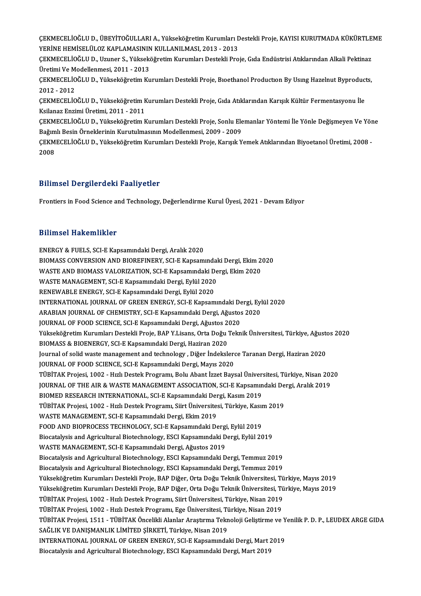ÇEKMECELİOĞLU D., ÜBEYİTOĞULLARI A., Yükseköğretim Kurumları Destekli Proje, KAYISI KURUTMADA KÜKÜRTLEME<br>YERİNE HEMİSELÜLOZ KARLAMASININ KULLANU MASL 2012 - 2012 ÇEKMECELİOĞLU D., ÜBEYİTOĞULLARI A., Yükseköğretim Kurumları D.<br>YERİNE HEMİSELÜLOZ KAPLAMASININ KULLANILMASI, 2013 - 2013<br>CEKMECELİOĞLU D. UTunar S. Yükseköğretim Kurumları Destekli Bro ÇEKMECELİOĞLU D., ÜBEYİTOĞULLARI A., Yükseköğretim Kurumları Destekli Proje, KAYISI KURUTMADA KÜKÜRTLE<br>YERİNE HEMİSELÜLOZ KAPLAMASININ KULLANILMASI, 2013 - 2013<br>ÇEKMECELİOĞLU D., Uzuner S., Yükseköğretim Kurumları Destekli

YERİNE HEMİSELÜLOZ KAPLAMASININ KULLANILMASI, 2013 - 2013<br>ÇEKMECELİOĞLU D., Uzuner S., Yükseköğretim Kurumları Destekli Proje, Gıda Endüstrisi Atıklarından Alkali Pektinaz<br>Üretimi Ve Modellenmesi. 2011 - 2013 ÇEKMECELİOĞLU D., Uzuner S., Yükseköğretim Kurumları Destekli Proje, Gıda Endüstrisi Atıklarından Alkali Pektinaz<br>Üretimi Ve Modellenmesi, 2011 - 2013<br>ÇEKMECELİOĞLU D., Yükseköğretim Kurumları Destekli Proje, Bıoethanol Pr

Üretimi Ve M<br>ÇEKMECELİO<br>2012 - 2012<br>СЕКМЕСЕІ İO ÇEKMECELİOĞLU D., Yükseköğretim Kurumları Destekli Proje, Bıoethanol Production By Using Hazelnut Byproduc<br>2012 - 2012<br>ÇEKMECELİOĞLU D., Yükseköğretim Kurumları Destekli Proje, Gıda Atıklarından Karışık Kültür Fermentasyon

2012 - 2012<br>ÇEKMECELİOĞLU D., Yükseköğretim Kurumları Destekli Proje, Gıda Atıklarından Karışık Kültür Fermentasyonu İle<br>Ksilanaz Enzimi Üretimi, 2011 - 2011 ÇEKMECELİOĞLU D., Yükseköğretim Kurumları Destekli Proje, Gıda Atıklarından Karışık Kültür Fermentasyonu İle<br>Ksilanaz Enzimi Üretimi, 2011 - 2011<br>ÇEKMECELİOĞLU D., Yükseköğretim Kurumları Destekli Proje, Sonlu Elemanlar Yö

Ksilanaz Enzimi Üretimi, 2011 - 2011<br>ÇEKMECELİOĞLU D., Yükseköğretim Kurumları Destekli Proje, Sonlu Ele<br>Bağımlı Besin Örneklerinin Kurutulmasının Modellenmesi, 2009 - 2009<br>CEKMECELİOĞLU D. Vükseköğretim Kurumları Destekli ÇEKMECELİOĞLU D., Yükseköğretim Kurumları Destekli Proje, Sonlu Elemanlar Yöntemi İle Yönle Değişmeyen Ve Yör<br>Bağımlı Besin Örneklerinin Kurutulmasının Modellenmesi, 2009 - 2009<br>ÇEKMECELİOĞLU D., Yükseköğretim Kurumları De

Bağımlı Besin Örneklerinin Kurutulmasının Modellenmesi, 2009 - 2009<br>ÇEKMECELİOĞLU D., Yükseköğretim Kurumları Destekli Proje, Karışık Yemek Atıklarından Biyoetanol Üretimi, 2008 -<br>2008

#### Bilimsel Dergilerdeki Faaliyetler

Frontiers in Food Science and Technology, Değerlendirme Kurul Üyesi, 2021 - Devam Ediyor

#### Bilimsel Hakemlikler

ENERGY&FUELS,SCI-EKapsamındakiDergi,Aralık2020 BIOMASS CONVERSION AND BIOREFINERY, SCI-E Kapsamındaki Dergi, Ekim 2020 ENERGY & FUELS, SCI-E Kapsamındaki Dergi, Aralık 2020<br>BIOMASS CONVERSION AND BIOREFINERY, SCI-E Kapsamındaki Dergi, Ekim 2<br>WASTE AND BIOMASS VALORIZATION, SCI-E Kapsamındaki Dergi, Ekim 2020<br>WASTE MANACEMENT, SCI E Kapsamı BIOMASS CONVERSION AND BIOREFINERY, SCI-E Kapsamındal<br>WASTE AND BIOMASS VALORIZATION, SCI-E Kapsamındaki De<br>WASTE MANAGEMENT, SCI-E Kapsamındaki Dergi, Eylül 2020<br>RENEWARLE ENERCY, SCI-E Kapsamındaki Dergi, Eylül 2020 WASTE AND BIOMASS VALORIZATION, SCI-E Kapsamındaki D<br>WASTE MANAGEMENT, SCI-E Kapsamındaki Dergi, Eylül 2020<br>RENEWABLE ENERGY, SCI-E Kapsamındaki Dergi, Eylül 2020<br>INTERNATIONAL JOURNAL OF CREEN ENERGY SCI E Kapsam WASTE MANAGEMENT, SCI-E Kapsamındaki Dergi, Eylül 2020<br>RENEWABLE ENERGY, SCI-E Kapsamındaki Dergi, Eylül 2020<br>INTERNATIONAL JOURNAL OF GREEN ENERGY, SCI-E Kapsamındaki Dergi, Eylül 2020 RENEWABLE ENERGY, SCI-E Kapsamındaki Dergi, Eylül 2020<br>INTERNATIONAL JOURNAL OF GREEN ENERGY, SCI-E Kapsamındaki Dergi, Eyl<br>ARABIAN JOURNAL OF CHEMISTRY, SCI-E Kapsamındaki Dergi, Ağustos 2020<br>JOURNAL OF FOOD SCIENCE SCI E INTERNATIONAL JOURNAL OF GREEN ENERGY, SCI-E Kapsamındaki De<br>ARABIAN JOURNAL OF CHEMISTRY, SCI-E Kapsamındaki Dergi, Ağustos<br>JOURNAL OF FOOD SCIENCE, SCI-E Kapsamındaki Dergi, Ağustos 2020<br>Vülgelöğretim Kunumları Destelti ARABIAN JOURNAL OF CHEMISTRY, SCI-E Kapsamındaki Dergi, Ağustos 2020<br>JOURNAL OF FOOD SCIENCE, SCI-E Kapsamındaki Dergi, Ağustos 2020<br>Yükseköğretim Kurumları Destekli Proje, BAP Y.Lisans, Orta Doğu Teknik Üniversitesi, Türk JOURNAL OF FOOD SCIENCE, SCI-E Kapsamındaki Dergi, Ağustos 2020<br>Yükseköğretim Kurumları Destekli Proje, BAP Y.Lisans, Orta Doğu Teknik Üniversitesi, Türkiye, Ağust<br>BIOMASS & BIOENERGY, SCI-E Kapsamındaki Dergi, Haziran 202 Yükseköğretim Kurumları Destekli Proje, BAP Y.Lisans, Orta Doğu Teknik Üniversitesi, Türkiye, Ağusto<br>BIOMASS & BIOENERGY, SCI-E Kapsamındaki Dergi, Haziran 2020<br>Journal of solid waste management and technology , Diğer İnde JOURNAL OF FOOD SCIENCE, SCI-E Kapsamındaki Dergi, Mayıs 2020 Journal of solid waste management and technology , Diğer İndekslerce Taranan Dergi, Haziran 2020<br>JOURNAL OF FOOD SCIENCE, SCI-E Kapsamındaki Dergi, Mayıs 2020<br>TÜBİTAK Projesi, 1002 - Hızlı Destek Programı, Bolu Abant İzzet JOURNAL OF FOOD SCIENCE, SCI-E Kapsamındaki Dergi, Mayıs 2020<br>TÜBİTAK Projesi, 1002 - Hızlı Destek Programı, Bolu Abant İzzet Baysal Üniversitesi, Türkiye, Nisan 202<br>JOURNAL OF THE AIR & WASTE MANAGEMENT ASSOCIATION, SCI-E TÜBİTAK Projesi, 1002 - Hızlı Destek Programı, Bolu Abant İzzet Baysal Üniver:<br>JOURNAL OF THE AIR & WASTE MANAGEMENT ASSOCIATION, SCI-E Kapsamın<br>BIOMED RESEARCH INTERNATIONAL, SCI-E Kapsamındaki Dergi, Kasım 2019<br>TÜBİTAK P JOURNAL OF THE AIR & WASTE MANAGEMENT ASSOCIATION, SCI-E Kapsamındaki De<br>BIOMED RESEARCH INTERNATIONAL, SCI-E Kapsamındaki Dergi, Kasım 2019<br>TÜBİTAK Projesi, 1002 - Hızlı Destek Programı, Siirt Üniversitesi, Türkiye, Kasım BIOMED RESEARCH INTERNATIONAL, SCI-E Kapsamındaki Der<br>TÜBİTAK Projesi, 1002 - Hızlı Destek Programı, Siirt Üniversite:<br>WASTE MANAGEMENT, SCI-E Kapsamındaki Dergi, Ekim 2019<br>FOOD AND PIOPPOCESS TECHNOLOCY, SCLE Kapsamındaki TÜBİTAK Projesi, 1002 - Hızlı Destek Programı, Siirt Üniversitesi, Türkiye, Kasıı<br>WASTE MANAGEMENT, SCI-E Kapsamındaki Dergi, Ekim 2019<br>FOOD AND BIOPROCESS TECHNOLOGY, SCI-E Kapsamındaki Dergi, Eylül 2019<br>Biosatalysis and WASTE MANAGEMENT, SCI-E Kapsamındaki Dergi, Ekim 2019<br>FOOD AND BIOPROCESS TECHNOLOGY, SCI-E Kapsamındaki Dergi, Eylül 2019<br>Biocatalysis and Agricultural Biotechnology, ESCI Kapsamındaki Dergi, Eylül 2019<br>WASTE MANACEMENT, FOOD AND BIOPROCESS TECHNOLOGY, SCI-E Kapsamındaki Dergi<br>Biocatalysis and Agricultural Biotechnology, ESCI Kapsamındaki D<br>WASTE MANAGEMENT, SCI-E Kapsamındaki Dergi, Ağustos 2019<br>Biocatalysis and Agricultural Biotechnology Biocatalysis and Agricultural Biotechnology, ESCI Kapsamındaki Dergi, Eylül 2019<br>WASTE MANAGEMENT, SCI-E Kapsamındaki Dergi, Ağustos 2019<br>Biocatalysis and Agricultural Biotechnology, ESCI Kapsamındaki Dergi, Temmuz 2019<br>Bi WASTE MANAGEMENT, SCI-E Kapsamındaki Dergi, Ağustos 2019<br>Biocatalysis and Agricultural Biotechnology, ESCI Kapsamındaki Dergi, Temmuz 2019<br>Biocatalysis and Agricultural Biotechnology, ESCI Kapsamındaki Dergi, Temmuz 2019 YükseköğretimKurumlarıDestekliProje,BAPDiğer,OrtaDoğuTeknikÜniversitesi,Türkiye,Mayıs2019 Yükseköğretim Kurumları Destekli Proje, BAP Diğer, Orta Doğu Teknik Üniversitesi, Türkiye, Mayıs 2019 Yükseköğretim Kurumları Destekli Proje, BAP Diğer, Orta Doğu Teknik Üniversitesi, Tü<br>Yükseköğretim Kurumları Destekli Proje, BAP Diğer, Orta Doğu Teknik Üniversitesi, Tü<br>TÜBİTAK Projesi, 1002 - Hızlı Destek Programı, Siirt Yükseköğretim Kurumları Destekli Proje, BAP Diğer, Orta Doğu Teknik Üniversitesi, Tü<br>TÜBİTAK Projesi, 1002 - Hızlı Destek Programı, Siirt Üniversitesi, Türkiye, Nisan 2019<br>TÜBİTAK Projesi, 1002 - Hızlı Destek Programı, Ege TÜBİTAK Projesi, 1511 - TÜBİTAK Öncelikli Alanlar Araştırma Teknoloji Geliştirme ve Yenilik P. D. P., LEUDEX ARGE GIDA<br>SAĞLIK VE DANIŞMANLIK LİMİTED ŞİRKETİ, Türkiye, Nisan 2019 TÜBİTAK Projesi, 1002 - Hızlı Destek Programı, Ege Üniversitesi, Türkiye, Nisan 2019 TÜBİTAK Projesi, 1511 - TÜBİTAK Öncelikli Alanlar Araştırma Teknoloji Geliştirme ve Y<br>SAĞLIK VE DANIŞMANLIK LİMİTED ŞİRKETİ, Türkiye, Nisan 2019<br>INTERNATIONAL JOURNAL OF GREEN ENERGY, SCI-E Kapsamındaki Dergi, Mart 2019<br>Bi SAĞLIK VE DANIŞMANLIK LİMİTED ŞİRKETİ, Türkiye, Nisan 2019<br>INTERNATIONAL JOURNAL OF GREEN ENERGY, SCI-E Kapsamındaki Dergi, Mart 2<br>Biocatalysis and Agricultural Biotechnology, ESCI Kapsamındaki Dergi, Mart 2019